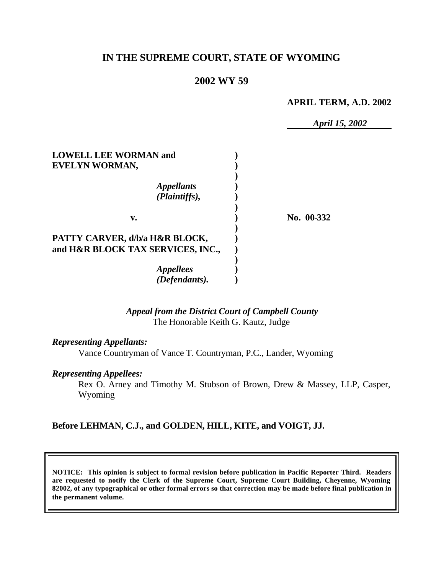## **IN THE SUPREME COURT, STATE OF WYOMING**

## **2002 WY 59**

#### **APRIL TERM, A.D. 2002**

*April 15, 2002*

| <b>LOWELL LEE WORMAN and</b><br>EVELYN WORMAN, |            |
|------------------------------------------------|------------|
|                                                |            |
| <i><b>Appellants</b></i><br>(Plaintiffs),      |            |
| v.                                             | No. 00-332 |
| PATTY CARVER, d/b/a H&R BLOCK,                 |            |
| and H&R BLOCK TAX SERVICES, INC.,              |            |
| <i><b>Appellees</b></i>                        |            |
| (Defendants).                                  |            |

## *Appeal from the District Court of Campbell County* The Honorable Keith G. Kautz, Judge

#### *Representing Appellants:*

Vance Countryman of Vance T. Countryman, P.C., Lander, Wyoming

#### *Representing Appellees:*

Rex O. Arney and Timothy M. Stubson of Brown, Drew & Massey, LLP, Casper, Wyoming

## **Before LEHMAN, C.J., and GOLDEN, HILL, KITE, and VOIGT, JJ.**

**NOTICE: This opinion is subject to formal revision before publication in Pacific Reporter Third. Readers are requested to notify the Clerk of the Supreme Court, Supreme Court Building, Cheyenne, Wyoming 82002, of any typographical or other formal errors so that correction may be made before final publication in the permanent volume.**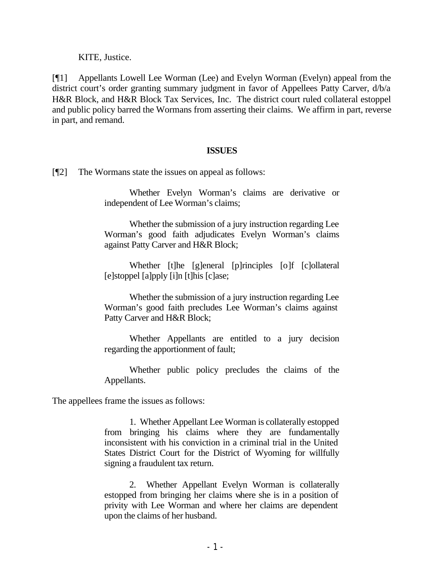KITE, Justice.

[¶1] Appellants Lowell Lee Worman (Lee) and Evelyn Worman (Evelyn) appeal from the district court's order granting summary judgment in favor of Appellees Patty Carver, d/b/a H&R Block, and H&R Block Tax Services, Inc. The district court ruled collateral estoppel and public policy barred the Wormans from asserting their claims. We affirm in part, reverse in part, and remand.

### **ISSUES**

[¶2] The Wormans state the issues on appeal as follows:

Whether Evelyn Worman's claims are derivative or independent of Lee Worman's claims;

Whether the submission of a jury instruction regarding Lee Worman's good faith adjudicates Evelyn Worman's claims against Patty Carver and H&R Block;

Whether [t]he [g]eneral [p]rinciples [o]f [c]ollateral [e]stoppel [a]pply [i]n [t]his [c]ase;

Whether the submission of a jury instruction regarding Lee Worman's good faith precludes Lee Worman's claims against Patty Carver and H&R Block;

Whether Appellants are entitled to a jury decision regarding the apportionment of fault;

Whether public policy precludes the claims of the Appellants.

The appellees frame the issues as follows:

1. Whether Appellant Lee Worman is collaterally estopped from bringing his claims where they are fundamentally inconsistent with his conviction in a criminal trial in the United States District Court for the District of Wyoming for willfully signing a fraudulent tax return.

2. Whether Appellant Evelyn Worman is collaterally estopped from bringing her claims where she is in a position of privity with Lee Worman and where her claims are dependent upon the claims of her husband.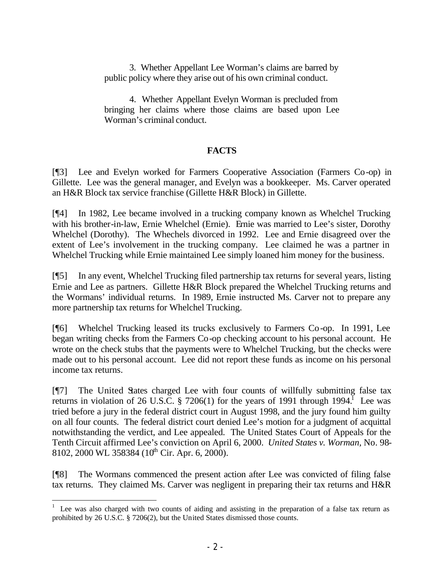3. Whether Appellant Lee Worman's claims are barred by public policy where they arise out of his own criminal conduct.

4. Whether Appellant Evelyn Worman is precluded from bringing her claims where those claims are based upon Lee Worman's criminal conduct.

## **FACTS**

[¶3] Lee and Evelyn worked for Farmers Cooperative Association (Farmers Co-op) in Gillette. Lee was the general manager, and Evelyn was a bookkeeper. Ms. Carver operated an H&R Block tax service franchise (Gillette H&R Block) in Gillette.

[¶4] In 1982, Lee became involved in a trucking company known as Whelchel Trucking with his brother-in-law, Ernie Whelchel (Ernie). Ernie was married to Lee's sister, Dorothy Whelchel (Dorothy). The Whechels divorced in 1992. Lee and Ernie disagreed over the extent of Lee's involvement in the trucking company. Lee claimed he was a partner in Whelchel Trucking while Ernie maintained Lee simply loaned him money for the business.

[¶5] In any event, Whelchel Trucking filed partnership tax returns for several years, listing Ernie and Lee as partners. Gillette H&R Block prepared the Whelchel Trucking returns and the Wormans' individual returns. In 1989, Ernie instructed Ms. Carver not to prepare any more partnership tax returns for Whelchel Trucking.

[¶6] Whelchel Trucking leased its trucks exclusively to Farmers Co-op. In 1991, Lee began writing checks from the Farmers Co-op checking account to his personal account. He wrote on the check stubs that the payments were to Whelchel Trucking, but the checks were made out to his personal account. Lee did not report these funds as income on his personal income tax returns.

[¶7] The United States charged Lee with four counts of willfully submitting false tax returns in violation of 26 U.S.C. § 7206(1) for the years of 1991 through 1994.<sup>I</sup> Lee was tried before a jury in the federal district court in August 1998, and the jury found him guilty on all four counts. The federal district court denied Lee's motion for a judgment of acquittal notwithstanding the verdict, and Lee appealed. The United States Court of Appeals for the Tenth Circuit affirmed Lee's conviction on April 6, 2000. *United States v. Worman,* No. 98- 8102, 2000 WL 358384 ( $10^{th}$  Cir. Apr. 6, 2000).

[¶8] The Wormans commenced the present action after Lee was convicted of filing false tax returns. They claimed Ms. Carver was negligent in preparing their tax returns and H&R

<sup>1</sup> Lee was also charged with two counts of aiding and assisting in the preparation of a false tax return as prohibited by 26 U.S.C. § 7206(2), but the United States dismissed those counts.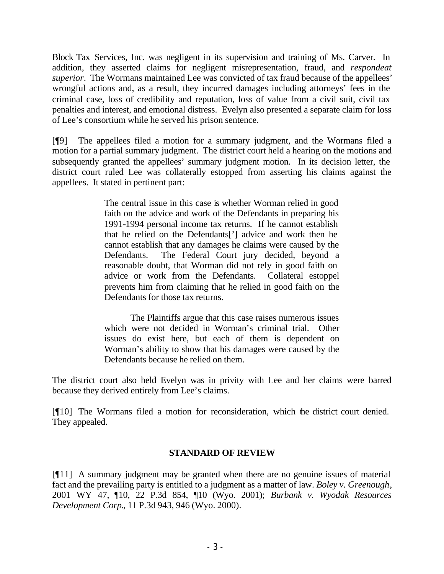Block Tax Services, Inc. was negligent in its supervision and training of Ms. Carver. In addition, they asserted claims for negligent misrepresentation, fraud, and *respondeat superior*. The Wormans maintained Lee was convicted of tax fraud because of the appellees' wrongful actions and, as a result, they incurred damages including attorneys' fees in the criminal case, loss of credibility and reputation, loss of value from a civil suit, civil tax penalties and interest, and emotional distress. Evelyn also presented a separate claim for loss of Lee's consortium while he served his prison sentence.

[¶9] The appellees filed a motion for a summary judgment, and the Wormans filed a motion for a partial summary judgment. The district court held a hearing on the motions and subsequently granted the appellees' summary judgment motion. In its decision letter, the district court ruled Lee was collaterally estopped from asserting his claims against the appellees. It stated in pertinent part:

> The central issue in this case is whether Worman relied in good faith on the advice and work of the Defendants in preparing his 1991-1994 personal income tax returns. If he cannot establish that he relied on the Defendants['] advice and work then he cannot establish that any damages he claims were caused by the Defendants. The Federal Court jury decided, beyond a reasonable doubt, that Worman did not rely in good faith on advice or work from the Defendants. Collateral estoppel prevents him from claiming that he relied in good faith on the Defendants for those tax returns.

> The Plaintiffs argue that this case raises numerous issues which were not decided in Worman's criminal trial. Other issues do exist here, but each of them is dependent on Worman's ability to show that his damages were caused by the Defendants because he relied on them.

The district court also held Evelyn was in privity with Lee and her claims were barred because they derived entirely from Lee's claims.

[¶10] The Wormans filed a motion for reconsideration, which the district court denied. They appealed.

## **STANDARD OF REVIEW**

[¶11] A summary judgment may be granted when there are no genuine issues of material fact and the prevailing party is entitled to a judgment as a matter of law. *Boley v. Greenough*, 2001 WY 47, ¶10, 22 P.3d 854, ¶10 (Wyo. 2001); *Burbank v. Wyodak Resources Development Corp.*, 11 P.3d 943, 946 (Wyo. 2000).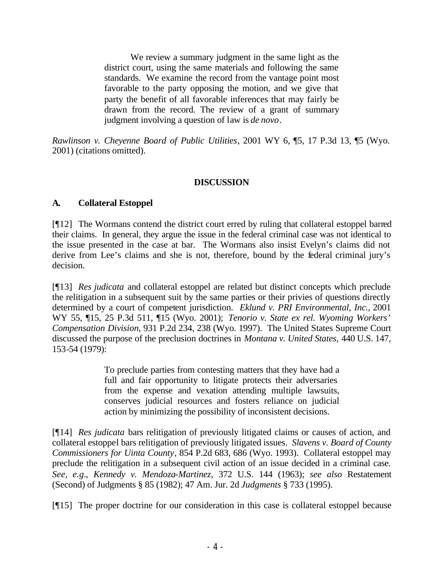We review a summary judgment in the same light as the district court, using the same materials and following the same standards. We examine the record from the vantage point most favorable to the party opposing the motion, and we give that party the benefit of all favorable inferences that may fairly be drawn from the record. The review of a grant of summary judgment involving a question of law is *de novo*.

*Rawlinson v. Cheyenne Board of Public Utilities*, 2001 WY 6, ¶5, 17 P.3d 13, ¶5 (Wyo. 2001) (citations omitted).

## **DISCUSSION**

## **A. Collateral Estoppel**

[¶12] The Wormans contend the district court erred by ruling that collateral estoppel barred their claims. In general, they argue the issue in the federal criminal case was not identical to the issue presented in the case at bar. The Wormans also insist Evelyn's claims did not derive from Lee's claims and she is not, therefore, bound by the federal criminal jury's decision.

[¶13] *Res judicata* and collateral estoppel are related but distinct concepts which preclude the relitigation in a subsequent suit by the same parties or their privies of questions directly determined by a court of competent jurisdiction. *Eklund v. PRI Environmental, Inc.*, 2001 WY 55, ¶15, 25 P.3d 511, ¶15 (Wyo. 2001); *Tenorio v. State ex rel. Wyoming Workers' Compensation Division*, 931 P.2d 234, 238 (Wyo. 1997). The United States Supreme Court discussed the purpose of the preclusion doctrines in *Montana v. United States,* 440 U.S. 147, 153-54 (1979):

> To preclude parties from contesting matters that they have had a full and fair opportunity to litigate protects their adversaries from the expense and vexation attending multiple lawsuits, conserves judicial resources and fosters reliance on judicial action by minimizing the possibility of inconsistent decisions.

[¶14] *Res judicata* bars relitigation of previously litigated claims or causes of action, and collateral estoppel bars relitigation of previously litigated issues. *Slavens v. Board of County Commissioners for Uinta County*, 854 P.2d 683, 686 (Wyo. 1993). Collateral estoppel may preclude the relitigation in a subsequent civil action of an issue decided in a criminal case. *See, e.g.*, *Kennedy v. Mendoza-Martinez,* 372 U.S. 144 (1963); *see also* Restatement (Second) of Judgments § 85 (1982); 47 Am. Jur. 2d *Judgments* § 733 (1995).

[¶15] The proper doctrine for our consideration in this case is collateral estoppel because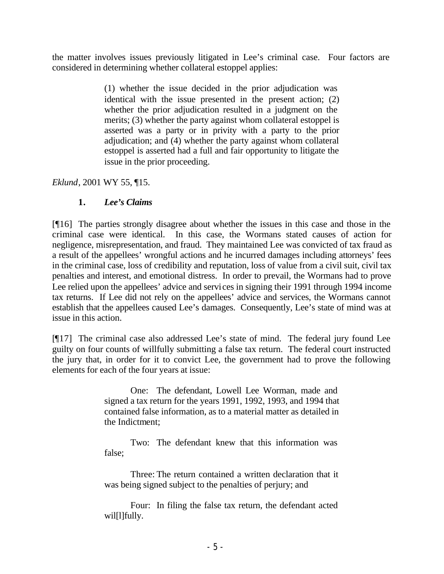the matter involves issues previously litigated in Lee's criminal case. Four factors are considered in determining whether collateral estoppel applies:

> (1) whether the issue decided in the prior adjudication was identical with the issue presented in the present action; (2) whether the prior adjudication resulted in a judgment on the merits; (3) whether the party against whom collateral estoppel is asserted was a party or in privity with a party to the prior adjudication; and (4) whether the party against whom collateral estoppel is asserted had a full and fair opportunity to litigate the issue in the prior proceeding.

*Eklund*, 2001 WY 55, ¶15.

# **1.** *Lee's Claims*

[¶16] The parties strongly disagree about whether the issues in this case and those in the criminal case were identical. In this case, the Wormans stated causes of action for negligence, misrepresentation, and fraud. They maintained Lee was convicted of tax fraud as a result of the appellees' wrongful actions and he incurred damages including attorneys' fees in the criminal case, loss of credibility and reputation, loss of value from a civil suit, civil tax penalties and interest, and emotional distress. In order to prevail, the Wormans had to prove Lee relied upon the appellees' advice and services in signing their 1991 through 1994 income tax returns. If Lee did not rely on the appellees' advice and services, the Wormans cannot establish that the appellees caused Lee's damages. Consequently, Lee's state of mind was at issue in this action.

[¶17] The criminal case also addressed Lee's state of mind. The federal jury found Lee guilty on four counts of willfully submitting a false tax return. The federal court instructed the jury that, in order for it to convict Lee, the government had to prove the following elements for each of the four years at issue:

> One: The defendant, Lowell Lee Worman, made and signed a tax return for the years 1991, 1992, 1993, and 1994 that contained false information, as to a material matter as detailed in the Indictment;

Two: The defendant knew that this information was false;

Three: The return contained a written declaration that it was being signed subject to the penalties of perjury; and

Four: In filing the false tax return, the defendant acted wil[l]fully.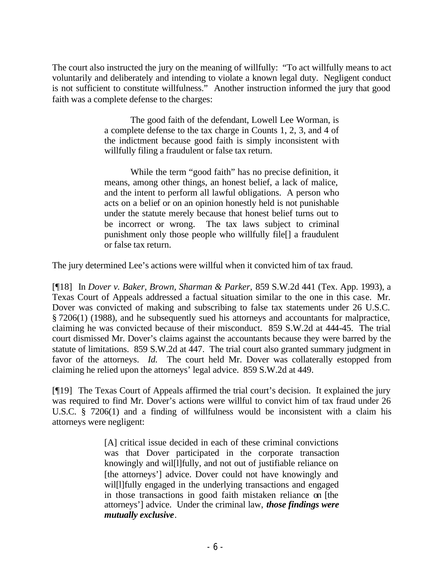The court also instructed the jury on the meaning of willfully: "To act willfully means to act voluntarily and deliberately and intending to violate a known legal duty. Negligent conduct is not sufficient to constitute willfulness." Another instruction informed the jury that good faith was a complete defense to the charges:

> The good faith of the defendant, Lowell Lee Worman, is a complete defense to the tax charge in Counts 1, 2, 3, and 4 of the indictment because good faith is simply inconsistent with willfully filing a fraudulent or false tax return.

> While the term "good faith" has no precise definition, it means, among other things, an honest belief, a lack of malice, and the intent to perform all lawful obligations. A person who acts on a belief or on an opinion honestly held is not punishable under the statute merely because that honest belief turns out to be incorrect or wrong. The tax laws subject to criminal punishment only those people who willfully file[] a fraudulent or false tax return.

The jury determined Lee's actions were willful when it convicted him of tax fraud.

[¶18] In *Dover v. Baker, Brown, Sharman & Parker,* 859 S.W.2d 441 (Tex. App. 1993), a Texas Court of Appeals addressed a factual situation similar to the one in this case. Mr. Dover was convicted of making and subscribing to false tax statements under 26 U.S.C. § 7206(1) (1988), and he subsequently sued his attorneys and accountants for malpractice, claiming he was convicted because of their misconduct. 859 S.W.2d at 444-45. The trial court dismissed Mr. Dover's claims against the accountants because they were barred by the statute of limitations. 859 S.W.2d at 447. The trial court also granted summary judgment in favor of the attorneys. *Id.* The court held Mr. Dover was collaterally estopped from claiming he relied upon the attorneys' legal advice. 859 S.W.2d at 449.

[¶19] The Texas Court of Appeals affirmed the trial court's decision. It explained the jury was required to find Mr. Dover's actions were willful to convict him of tax fraud under 26 U.S.C. § 7206(1) and a finding of willfulness would be inconsistent with a claim his attorneys were negligent:

> [A] critical issue decided in each of these criminal convictions was that Dover participated in the corporate transaction knowingly and wil[l]fully, and not out of justifiable reliance on [the attorneys'] advice. Dover could not have knowingly and wil[l]fully engaged in the underlying transactions and engaged in those transactions in good faith mistaken reliance on [the attorneys'] advice. Under the criminal law, *those findings were mutually exclusive*.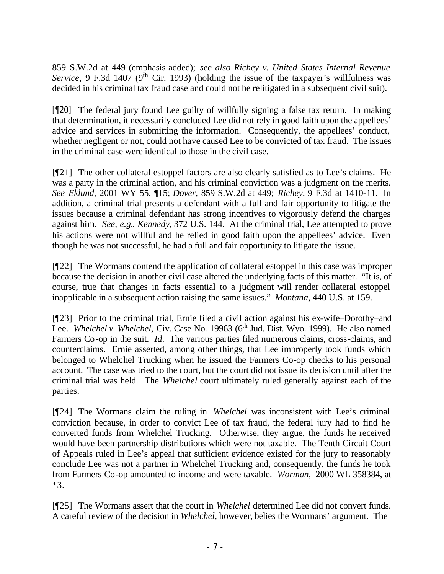859 S.W.2d at 449 (emphasis added); *see also Richey v. United States Internal Revenue Service*, 9 F.3d 1407 ( $9<sup>th</sup>$  Cir. 1993) (holding the issue of the taxpayer's willfulness was decided in his criminal tax fraud case and could not be relitigated in a subsequent civil suit).

[¶20] The federal jury found Lee guilty of willfully signing a false tax return. In making that determination, it necessarily concluded Lee did not rely in good faith upon the appellees' advice and services in submitting the information. Consequently, the appellees' conduct, whether negligent or not, could not have caused Lee to be convicted of tax fraud. The issues in the criminal case were identical to those in the civil case.

[¶21] The other collateral estoppel factors are also clearly satisfied as to Lee's claims. He was a party in the criminal action, and his criminal conviction was a judgment on the merits. *See Eklund,* 2001 WY 55, ¶15; *Dover,* 859 S.W.2d at 449; *Richey,* 9 F.3d at 1410-11. In addition, a criminal trial presents a defendant with a full and fair opportunity to litigate the issues because a criminal defendant has strong incentives to vigorously defend the charges against him. *See, e.g.*, *Kennedy,* 372 U.S. 144. At the criminal trial, Lee attempted to prove his actions were not willful and he relied in good faith upon the appellees' advice. Even though he was not successful, he had a full and fair opportunity to litigate the issue.

[¶22] The Wormans contend the application of collateral estoppel in this case was improper because the decision in another civil case altered the underlying facts of this matter. "It is, of course, true that changes in facts essential to a judgment will render collateral estoppel inapplicable in a subsequent action raising the same issues." *Montana,* 440 U.S. at 159.

[¶23] Prior to the criminal trial, Ernie filed a civil action against his ex-wife–Dorothy–and Lee. *Whelchel v. Whelchel*, Civ. Case No. 19963 (6<sup>th</sup> Jud. Dist. Wyo. 1999). He also named Farmers Co-op in the suit. *Id.* The various parties filed numerous claims, cross-claims, and counterclaims. Ernie asserted, among other things, that Lee improperly took funds which belonged to Whelchel Trucking when he issued the Farmers Co-op checks to his personal account. The case was tried to the court, but the court did not issue its decision until after the criminal trial was held. The *Whelchel* court ultimately ruled generally against each of the parties.

[¶24] The Wormans claim the ruling in *Whelchel* was inconsistent with Lee's criminal conviction because, in order to convict Lee of tax fraud, the federal jury had to find he converted funds from Whelchel Trucking. Otherwise, they argue, the funds he received would have been partnership distributions which were not taxable. The Tenth Circuit Court of Appeals ruled in Lee's appeal that sufficient evidence existed for the jury to reasonably conclude Lee was not a partner in Whelchel Trucking and, consequently, the funds he took from Farmers Co-op amounted to income and were taxable. *Worman,* 2000 WL 358384, at \*3.

[¶25] The Wormans assert that the court in *Whelchel* determined Lee did not convert funds. A careful review of the decision in *Whelchel*, however, belies the Wormans' argument. The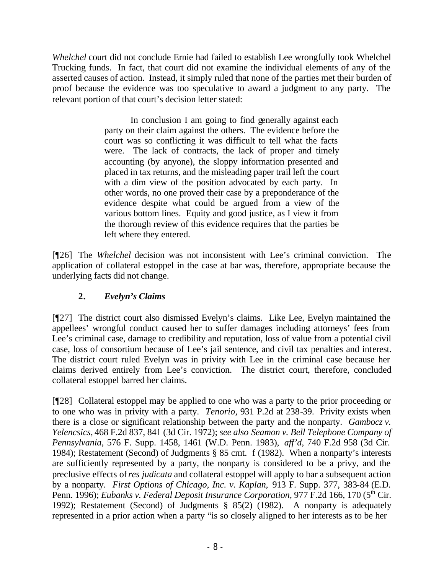*Whelchel* court did not conclude Ernie had failed to establish Lee wrongfully took Whelchel Trucking funds. In fact, that court did not examine the individual elements of any of the asserted causes of action. Instead, it simply ruled that none of the parties met their burden of proof because the evidence was too speculative to award a judgment to any party. The relevant portion of that court's decision letter stated:

> In conclusion I am going to find generally against each party on their claim against the others. The evidence before the court was so conflicting it was difficult to tell what the facts were. The lack of contracts, the lack of proper and timely accounting (by anyone), the sloppy information presented and placed in tax returns, and the misleading paper trail left the court with a dim view of the position advocated by each party. In other words, no one proved their case by a preponderance of the evidence despite what could be argued from a view of the various bottom lines. Equity and good justice, as I view it from the thorough review of this evidence requires that the parties be left where they entered.

[¶26] The *Whelchel* decision was not inconsistent with Lee's criminal conviction. The application of collateral estoppel in the case at bar was, therefore, appropriate because the underlying facts did not change.

# **2.** *Evelyn's Claims*

[¶27] The district court also dismissed Evelyn's claims. Like Lee, Evelyn maintained the appellees' wrongful conduct caused her to suffer damages including attorneys' fees from Lee's criminal case, damage to credibility and reputation, loss of value from a potential civil case, loss of consortium because of Lee's jail sentence, and civil tax penalties and interest. The district court ruled Evelyn was in privity with Lee in the criminal case because her claims derived entirely from Lee's conviction. The district court, therefore, concluded collateral estoppel barred her claims.

[¶28] Collateral estoppel may be applied to one who was a party to the prior proceeding or to one who was in privity with a party. *Tenorio,* 931 P.2d at 238-39. Privity exists when there is a close or significant relationship between the party and the nonparty. *Gambocz v. Yelencsics,* 468 F.2d 837, 841 (3d Cir. 1972); *see also Seamon v. Bell Telephone Company of Pennsylvania,* 576 F. Supp. 1458, 1461 (W.D. Penn. 1983), *aff'd*, 740 F.2d 958 (3d Cir. 1984); Restatement (Second) of Judgments § 85 cmt. f (1982). When a nonparty's interests are sufficiently represented by a party, the nonparty is considered to be a privy, and the preclusive effects of *res judicata* and collateral estoppel will apply to bar a subsequent action by a nonparty. *First Options of Chicago, Inc. v. Kaplan,* 913 F. Supp. 377, 383-84 (E.D. Penn. 1996); *Eubanks v. Federal Deposit Insurance Corporation*, 977 F.2d 166, 170 (5<sup>th</sup> Cir. 1992); Restatement (Second) of Judgments § 85(2) (1982). A nonparty is adequately represented in a prior action when a party "is so closely aligned to her interests as to be her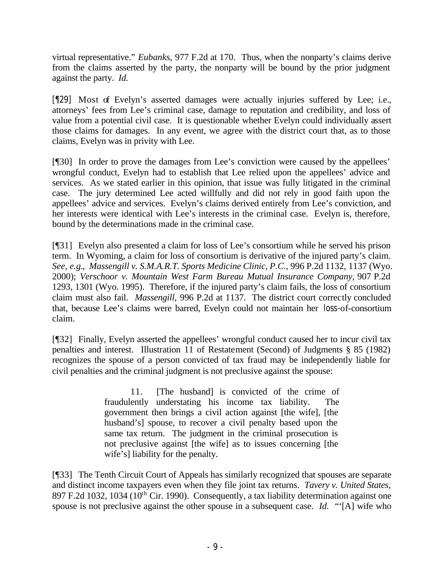virtual representative." *Eubanks,* 977 F.2d at 170. Thus, when the nonparty's claims derive from the claims asserted by the party, the nonparty will be bound by the prior judgment against the party. *Id.* 

[¶29] Most of Evelyn's asserted damages were actually injuries suffered by Lee; i.e., attorneys' fees from Lee's criminal case, damage to reputation and credibility, and loss of value from a potential civil case. It is questionable whether Evelyn could individually assert those claims for damages. In any event, we agree with the district court that, as to those claims, Evelyn was in privity with Lee.

[¶30] In order to prove the damages from Lee's conviction were caused by the appellees' wrongful conduct, Evelyn had to establish that Lee relied upon the appellees' advice and services. As we stated earlier in this opinion, that issue was fully litigated in the criminal case. The jury determined Lee acted willfully and did not rely in good faith upon the appellees' advice and services. Evelyn's claims derived entirely from Lee's conviction, and her interests were identical with Lee's interests in the criminal case. Evelyn is, therefore, bound by the determinations made in the criminal case.

[¶31] Evelyn also presented a claim for loss of Lee's consortium while he served his prison term. In Wyoming, a claim for loss of consortium is derivative of the injured party's claim. *See, e.g.*, *Massengill v. S.M.A.R.T. Sports Medicine Clinic, P.C.*, 996 P.2d 1132, 1137 (Wyo. 2000); *Verschoor v. Mountain West Farm Bureau Mutual Insurance Company*, 907 P.2d 1293, 1301 (Wyo. 1995). Therefore, if the injured party's claim fails, the loss of consortium claim must also fail. *Massengill,* 996 P.2d at 1137. The district court correctly concluded that, because Lee's claims were barred, Evelyn could not maintain her loss-of-consortium claim.

[¶32] Finally, Evelyn asserted the appellees' wrongful conduct caused her to incur civil tax penalties and interest. Illustration 11 of Restatement (Second) of Judgments § 85 (1982) recognizes the spouse of a person convicted of tax fraud may be independently liable for civil penalties and the criminal judgment is not preclusive against the spouse:

> 11. [The husband] is convicted of the crime of fraudulently understating his income tax liability. The government then brings a civil action against [the wife], [the husband's] spouse, to recover a civil penalty based upon the same tax return. The judgment in the criminal prosecution is not preclusive against [the wife] as to issues concerning [the wife's] liability for the penalty.

[¶33] The Tenth Circuit Court of Appeals has similarly recognized that spouses are separate and distinct income taxpayers even when they file joint tax returns. *Tavery v. United States,*  897 F.2d 1032, 1034 ( $10^{th}$  Cir. 1990). Consequently, a tax liability determination against one spouse is not preclusive against the other spouse in a subsequent case. *Id.* "'[A] wife who